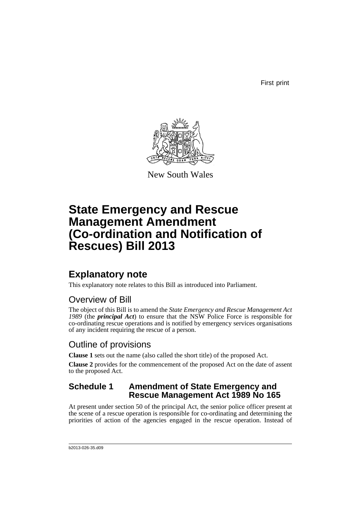First print



New South Wales

# **State Emergency and Rescue Management Amendment (Co-ordination and Notification of Rescues) Bill 2013**

## **Explanatory note**

This explanatory note relates to this Bill as introduced into Parliament.

### Overview of Bill

The object of this Bill is to amend the *State Emergency and Rescue Management Act 1989* (the *principal Act*) to ensure that the NSW Police Force is responsible for co-ordinating rescue operations and is notified by emergency services organisations of any incident requiring the rescue of a person.

#### Outline of provisions

**Clause 1** sets out the name (also called the short title) of the proposed Act.

**Clause 2** provides for the commencement of the proposed Act on the date of assent to the proposed Act.

#### **Schedule 1 Amendment of State Emergency and Rescue Management Act 1989 No 165**

At present under section 50 of the principal Act, the senior police officer present at the scene of a rescue operation is responsible for co-ordinating and determining the priorities of action of the agencies engaged in the rescue operation. Instead of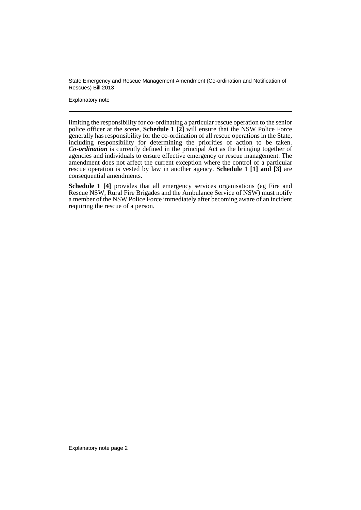State Emergency and Rescue Management Amendment (Co-ordination and Notification of Rescues) Bill 2013

Explanatory note

limiting the responsibility for co-ordinating a particular rescue operation to the senior police officer at the scene, **Schedule 1 [2]** will ensure that the NSW Police Force generally has responsibility for the co-ordination of all rescue operations in the State, including responsibility for determining the priorities of action to be taken. *Co-ordination* is currently defined in the principal Act as the bringing together of agencies and individuals to ensure effective emergency or rescue management. The amendment does not affect the current exception where the control of a particular rescue operation is vested by law in another agency. **Schedule 1 [1] and [3]** are consequential amendments.

Schedule 1 [4] provides that all emergency services organisations (eg Fire and Rescue NSW, Rural Fire Brigades and the Ambulance Service of NSW) must notify a member of the NSW Police Force immediately after becoming aware of an incident requiring the rescue of a person.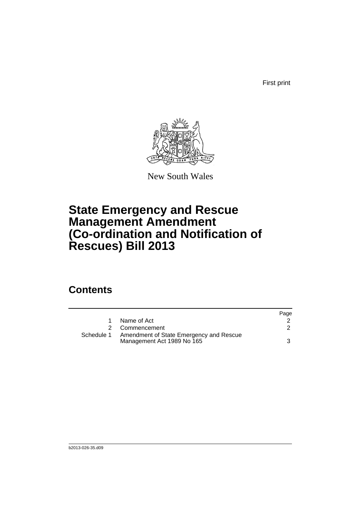First print



New South Wales

# **State Emergency and Rescue Management Amendment (Co-ordination and Notification of Rescues) Bill 2013**

## **Contents**

|            |                                                                       | Page |
|------------|-----------------------------------------------------------------------|------|
|            | Name of Act                                                           |      |
| 2          | Commencement                                                          |      |
| Schedule 1 | Amendment of State Emergency and Rescue<br>Management Act 1989 No 165 | 3    |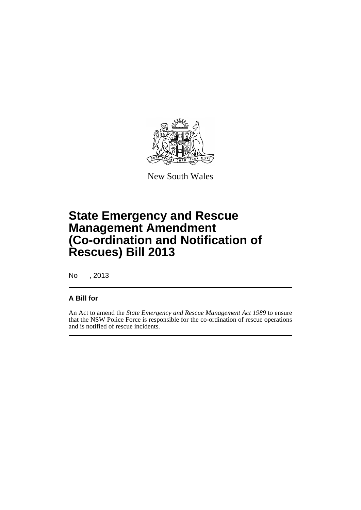

New South Wales

# **State Emergency and Rescue Management Amendment (Co-ordination and Notification of Rescues) Bill 2013**

No , 2013

#### **A Bill for**

An Act to amend the *State Emergency and Rescue Management Act 1989* to ensure that the NSW Police Force is responsible for the co-ordination of rescue operations and is notified of rescue incidents.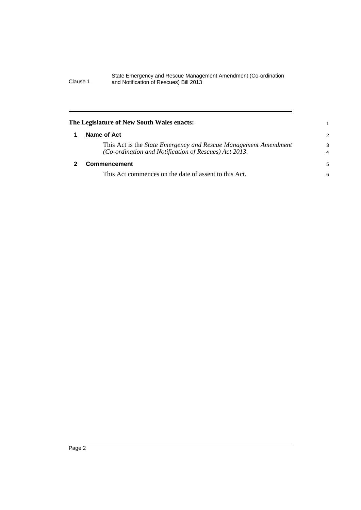#### State Emergency and Rescue Management Amendment (Co-ordination Clause 1 and Notification of Rescues) Bill 2013

<span id="page-5-1"></span><span id="page-5-0"></span>

| The Legislature of New South Wales enacts:                                                                               |               |
|--------------------------------------------------------------------------------------------------------------------------|---------------|
| Name of Act                                                                                                              | $\mathcal{P}$ |
| This Act is the State Emergency and Rescue Management Amendment<br>(Co-ordination and Notification of Rescues) Act 2013. | 3<br>4        |
| <b>Commencement</b>                                                                                                      | 5             |
| This Act commences on the date of assent to this Act.                                                                    | 6             |